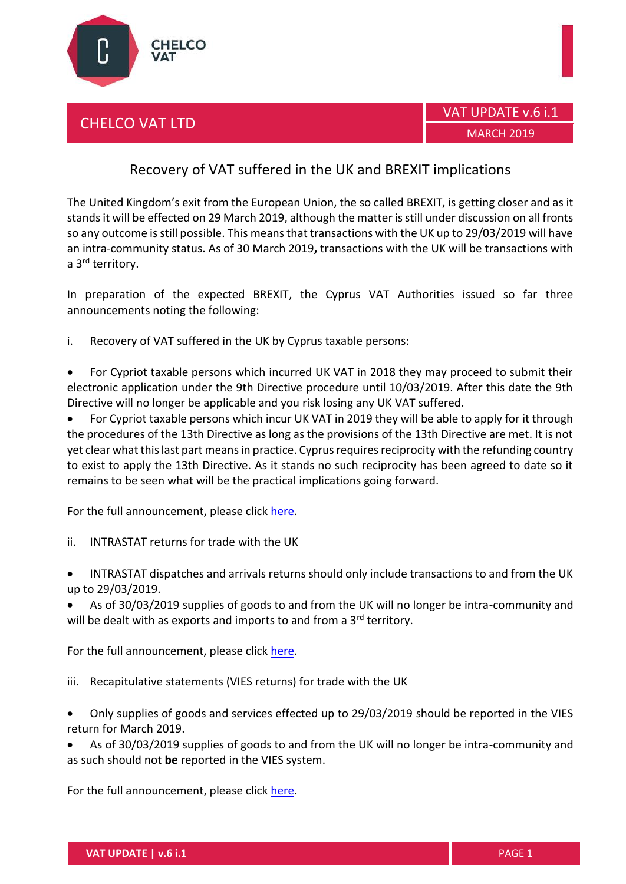

## CHELCO VAT LTD



## Recovery of VAT suffered in the UK and BREXIT implications

The United Kingdom's exit from the European Union, the so called BREXIT, is getting closer and as it stands it will be effected on 29 March 2019, although the matter is still under discussion on all fronts so any outcome is still possible. This means that transactions with the UK up to 29/03/2019 will have an intra-community status. As of 30 March 2019**,** transactions with the UK will be transactions with a 3<sup>rd</sup> territory.

In preparation of the expected BREXIT, the Cyprus VAT Authorities issued so far three announcements noting the following:

i. Recovery of VAT suffered in the UK by Cyprus taxable persons:

 For Cypriot taxable persons which incurred UK VAT in 2018 they may proceed to submit their electronic application under the 9th Directive procedure until 10/03/2019. After this date the 9th Directive will no longer be applicable and you risk losing any UK VAT suffered.

 For Cypriot taxable persons which incur UK VAT in 2019 they will be able to apply for it through the procedures of the 13th Directive as long as the provisions of the 13th Directive are met. It is not yet clear what this last part means in practice. Cyprus requires reciprocity with the refunding country to exist to apply the 13th Directive. As it stands no such reciprocity has been agreed to date so it remains to be seen what will be the practical implications going forward.

For the full announcement, please clic[k here.](http://www.mof.gov.cy/mof/tax/taxdep.nsf/All/655C8C6E0FB5EEA1C22583A900470C23/$file/%CE%95%CF%80%CE%B9%CF%83%CF%84%CF%81%CE%BF%CF%86%CE%AD%CF%82%20%CE%A6%CE%A0%CE%91%20%CE%BC%CE%B5%20%CE%B2%CE%AC%CF%83%CE%B7%20%CF%84%CE%B7%CE%BD%20%CE%9F%CE%B4%CE%B7%CE%B3%CE%AF%CE%B1%202008_9%CE%95%CE%9A.pdf)

- ii. INTRASTAT returns for trade with the UK
- INTRASTAT dispatches and arrivals returns should only include transactions to and from the UK up to 29/03/2019.
- As of 30/03/2019 supplies of goods to and from the UK will no longer be intra-community and will be dealt with as exports and imports to and from a  $3<sup>rd</sup>$  territory.

For the full announcement, please clic[k here.](http://www.mof.gov.cy/mof/tax/taxdep.nsf/All/1EEC3330F2C7D1B7C22583AF002F28E3/$file/INTRASTAT_%CE%91%CE%BD%CE%B1%CE%BA%CE%BF%CE%AF%CE%BD%CF%89%CF%83%CE%B7.pdf)

- iii. Recapitulative statements (VIES returns) for trade with the UK
- Only supplies of goods and services effected up to 29/03/2019 should be reported in the VIES return for March 2019.
- As of 30/03/2019 supplies of goods to and from the UK will no longer be intra-community and as such should not **be** reported in the VIES system.

For the full announcement, please clic[k here.](http://www.mof.gov.cy/mof/tax/taxdep.nsf/All/04E210CC58B288EDC22583AF002EAFF7/$file/VIES_%CE%91%CE%BD%CE%B1%CE%BA%CE%BF%CE%AF%CE%BD%CF%89%CF%83%CE%B7.pdf)